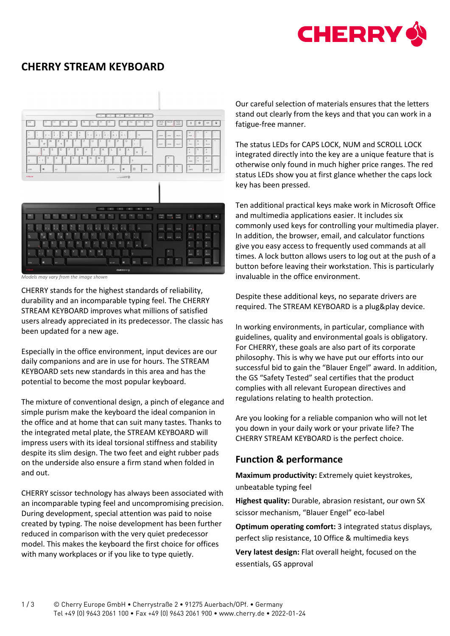

# **CHERRY STREAM KEYBOARD**



*Models may vary from the image shown*

CHERRY stands for the highest standards of reliability, durability and an incomparable typing feel. The CHERRY STREAM KEYBOARD improves what millions of satisfied users already appreciated in its predecessor. The classic has been updated for a new age.

Especially in the office environment, input devices are our daily companions and are in use for hours. The STREAM KEYBOARD sets new standards in this area and has the potential to become the most popular keyboard.

The mixture of conventional design, a pinch of elegance and simple purism make the keyboard the ideal companion in the office and at home that can suit many tastes. Thanks to the integrated metal plate, the STREAM KEYBOARD will impress users with its ideal torsional stiffness and stability despite its slim design. The two feet and eight rubber pads on the underside also ensure a firm stand when folded in and out.

CHERRY scissor technology has always been associated with an incomparable typing feel and uncompromising precision. During development, special attention was paid to noise created by typing. The noise development has been further reduced in comparison with the very quiet predecessor model. This makes the keyboard the first choice for offices with many workplaces or if you like to type quietly.

Our careful selection of materials ensures that the letters stand out clearly from the keys and that you can work in a fatigue-free manner.

The status LEDs for CAPS LOCK, NUM and SCROLL LOCK integrated directly into the key are a unique feature that is otherwise only found in much higher price ranges. The red status LEDs show you at first glance whether the caps lock key has been pressed.

Ten additional practical keys make work in Microsoft Office and multimedia applications easier. It includes six commonly used keys for controlling your multimedia player. In addition, the browser, email, and calculator functions give you easy access to frequently used commands at all times. A lock button allows users to log out at the push of a button before leaving their workstation. This is particularly invaluable in the office environment.

Despite these additional keys, no separate drivers are required. The STREAM KEYBOARD is a plug&play device.

In working environments, in particular, compliance with guidelines, quality and environmental goals is obligatory. For CHERRY, these goals are also part of its corporate philosophy. This is why we have put our efforts into our successful bid to gain the "Blauer Engel" award. In addition, the GS "Safety Tested" seal certifies that the product complies with all relevant European directives and regulations relating to health protection.

Are you looking for a reliable companion who will not let you down in your daily work or your private life? The CHERRY STREAM KEYBOARD is the perfect choice.

## **Function & performance**

**Maximum productivity:** Extremely quiet keystrokes, unbeatable typing feel

**Highest quality:** Durable, abrasion resistant, our own SX scissor mechanism, "Blauer Engel" eco-label

**Optimum operating comfort:** 3 integrated status displays, perfect slip resistance, 10 Office & multimedia keys

**Very latest design:** Flat overall height, focused on the essentials, GS approval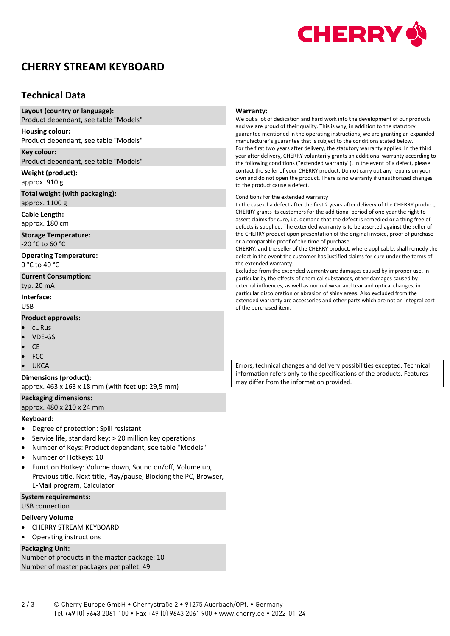

# **CHERRY STREAM KEYBOARD**

## **Technical Data**

| Layout (country or language):<br>Product dependant, see table "Models" | Warranty:<br>We put a lot of dedication and hard work into the development of our products                                                                                                                                                                                                                                                                                                                                                                                                                                                                                                         |  |  |  |
|------------------------------------------------------------------------|----------------------------------------------------------------------------------------------------------------------------------------------------------------------------------------------------------------------------------------------------------------------------------------------------------------------------------------------------------------------------------------------------------------------------------------------------------------------------------------------------------------------------------------------------------------------------------------------------|--|--|--|
| <b>Housing colour:</b><br>Product dependant, see table "Models"        | and we are proud of their quality. This is why, in addition to the statutory<br>guarantee mentioned in the operating instructions, we are granting an expanded<br>manufacturer's guarantee that is subject to the conditions stated below.                                                                                                                                                                                                                                                                                                                                                         |  |  |  |
| Key colour:<br>Product dependant, see table "Models"                   | For the first two years after delivery, the statutory warranty applies. In the third<br>year after delivery, CHERRY voluntarily grants an additional warranty according to<br>the following conditions ("extended warranty"). In the event of a defect, please<br>contact the seller of your CHERRY product. Do not carry out any repairs on your<br>own and do not open the product. There is no warranty if unauthorized changes<br>to the product cause a defect.                                                                                                                               |  |  |  |
| Weight (product):<br>approx. 910 g                                     |                                                                                                                                                                                                                                                                                                                                                                                                                                                                                                                                                                                                    |  |  |  |
| Total weight (with packaging):<br>approx. 1100 g                       | Conditions for the extended warranty<br>In the case of a defect after the first 2 years after delivery of the CHERRY product,                                                                                                                                                                                                                                                                                                                                                                                                                                                                      |  |  |  |
| Cable Length:<br>approx. 180 cm                                        | CHERRY grants its customers for the additional period of one year the right to<br>assert claims for cure, i.e. demand that the defect is remedied or a thing free of<br>defects is supplied. The extended warranty is to be asserted against the seller of<br>the CHERRY product upon presentation of the original invoice, proof of purchase<br>or a comparable proof of the time of purchase.<br>CHERRY, and the seller of the CHERRY product, where applicable, shall remedy the<br>defect in the event the customer has justified claims for cure under the terms of<br>the extended warranty. |  |  |  |
| <b>Storage Temperature:</b><br>-20 °C to 60 °C                         |                                                                                                                                                                                                                                                                                                                                                                                                                                                                                                                                                                                                    |  |  |  |
| <b>Operating Temperature:</b><br>0 °C to 40 °C                         |                                                                                                                                                                                                                                                                                                                                                                                                                                                                                                                                                                                                    |  |  |  |
| <b>Current Consumption:</b><br>typ. 20 mA                              | Excluded from the extended warranty are damages caused by improper use, in<br>particular by the effects of chemical substances, other damages caused by<br>external influences, as well as normal wear and tear and optical changes, in                                                                                                                                                                                                                                                                                                                                                            |  |  |  |
| Interface:<br><b>USB</b>                                               | particular discoloration or abrasion of shiny areas. Also excluded from the<br>extended warranty are accessories and other parts which are not an integral part<br>of the purchased item.                                                                                                                                                                                                                                                                                                                                                                                                          |  |  |  |
|                                                                        |                                                                                                                                                                                                                                                                                                                                                                                                                                                                                                                                                                                                    |  |  |  |

#### **Product approvals:**

- cURus
- VDE-GS
- CE
- FCC
- **UKCA**

#### **Dimensions (product):**

approx. 463 x 163 x 18 mm (with feet up: 29,5 mm)

### **Packaging dimensions:**

approx. 480 x 210 x 24 mm

#### **Keyboard:**

- Degree of protection: Spill resistant
- Service life, standard key: > 20 million key operations
- Number of Keys: Product dependant, see table "Models"
- Number of Hotkeys: 10
- Function Hotkey: Volume down, Sound on/off, Volume up, Previous title, Next title, Play/pause, Blocking the PC, Browser, E-Mail program, Calculator

#### **System requirements:**

#### USB connection

#### **Delivery Volume**

- CHERRY STREAM KEYBOARD
- Operating instructions

### **Packaging Unit:**

Number of products in the master package: 10 Number of master packages per pallet: 49

Errors, technical changes and delivery possibilities excepted. Technical information refers only to the specifications of the products. Features may differ from the information provided.